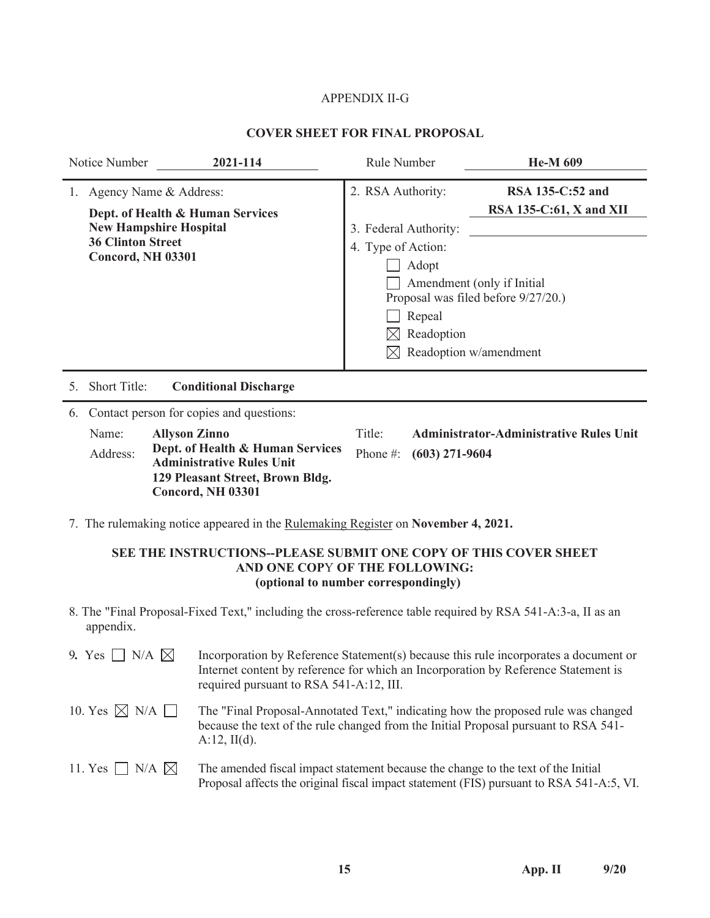# APPENDIX II-G

# **COVER SHEET FOR FINAL PROPOSAL**

| 2021-114<br>Notice Number                                                                                                                                                                                                           | Rule Number                                                                                       | <b>He-M 609</b>                                                                                                                            |
|-------------------------------------------------------------------------------------------------------------------------------------------------------------------------------------------------------------------------------------|---------------------------------------------------------------------------------------------------|--------------------------------------------------------------------------------------------------------------------------------------------|
| 1. Agency Name & Address:<br>Dept. of Health & Human Services<br><b>New Hampshire Hospital</b><br><b>36 Clinton Street</b><br><b>Concord, NH 03301</b>                                                                              | 2. RSA Authority:<br>3. Federal Authority:<br>4. Type of Action:<br>Adopt<br>Repeal<br>Readoption | RSA 135-C:52 and<br>RSA 135-C:61, X and XII<br>Amendment (only if Initial<br>Proposal was filed before 9/27/20.)<br>Readoption w/amendment |
| Short Title:<br><b>Conditional Discharge</b><br>5.                                                                                                                                                                                  |                                                                                                   |                                                                                                                                            |
| Contact person for copies and questions:<br>6.<br>Name:<br><b>Allyson Zinno</b><br>Dept. of Health & Human Services<br>Address:<br><b>Administrative Rules Unit</b><br>129 Pleasant Street, Brown Bldg.<br><b>Concord, NH 03301</b> | Title:<br>Phone #:<br>$(603)$ 271-9604                                                            | <b>Administrator-Administrative Rules Unit</b>                                                                                             |
| 7. The rulemaking notice appeared in the <u>Rulemaking Register</u> on <b>November 4, 2021.</b>                                                                                                                                     |                                                                                                   |                                                                                                                                            |

# **SEE THE INSTRUCTIONS--PLEASE SUBMIT ONE COPY OF THIS COVER SHEET AND ONE COP**Y **OF THE FOLLOWING: (optional to number correspondingly)**

8. The "Final Proposal-Fixed Text," including the cross-reference table required by RSA 541-A:3-a, II as an appendix.

| 9. Yes $\Box$ N/A $\boxtimes$  | Incorporation by Reference Statement(s) because this rule incorporates a document or<br>Internet content by reference for which an Incorporation by Reference Statement is<br>required pursuant to RSA 541-A:12, III. |
|--------------------------------|-----------------------------------------------------------------------------------------------------------------------------------------------------------------------------------------------------------------------|
| 10. Yes $\boxtimes$ N/A $\Box$ | The "Final Proposal-Annotated Text," indicating how the proposed rule was changed<br>because the text of the rule changed from the Initial Proposal pursuant to RSA 541-<br>$A:12$ , $II(d)$ .                        |
| 11. Yes $\Box$ N/A $\boxtimes$ | The amended fiscal impact statement because the change to the text of the Initial<br>Proposal affects the original fiscal impact statement (FIS) pursuant to RSA 541-A:5, VI.                                         |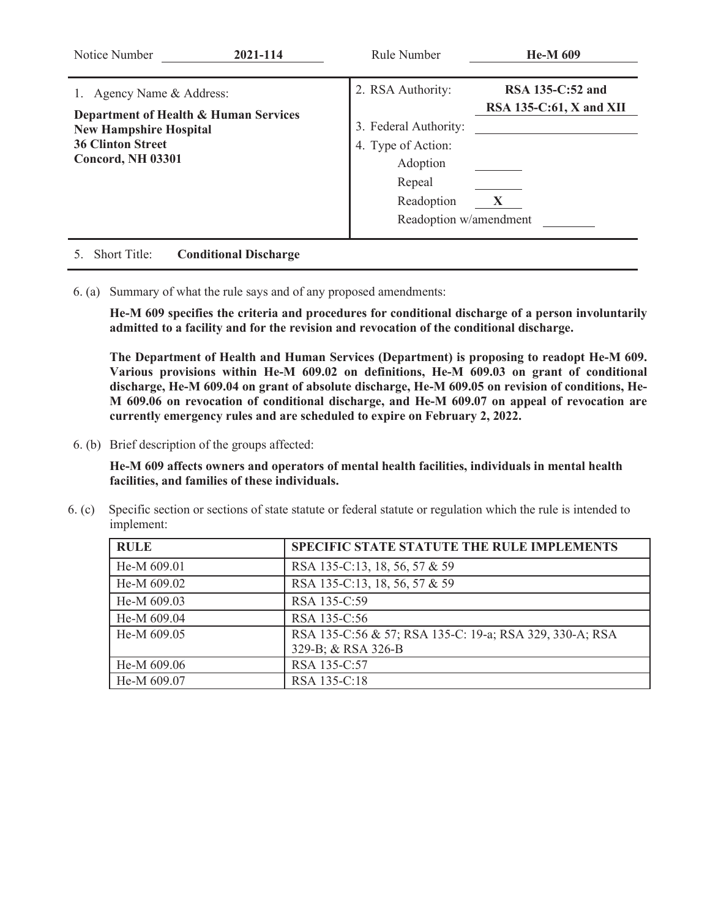| Notice Number                                                                                                                                     | 2021-114                     | Rule Number                                                                                                                    | <b>He-M 609</b>                                           |
|---------------------------------------------------------------------------------------------------------------------------------------------------|------------------------------|--------------------------------------------------------------------------------------------------------------------------------|-----------------------------------------------------------|
| Agency Name & Address:<br>Department of Health & Human Services<br><b>New Hampshire Hospital</b><br><b>36 Clinton Street</b><br>Concord, NH 03301 |                              | 2. RSA Authority:<br>3. Federal Authority:<br>4. Type of Action:<br>Adoption<br>Repeal<br>Readoption<br>Readoption w/amendment | <b>RSA 135-C:52 and</b><br>$RSA$ 135-C:61, X and XII<br>X |
| <b>Short Title:</b>                                                                                                                               | <b>Conditional Discharge</b> |                                                                                                                                |                                                           |

6. (a) Summary of what the rule says and of any proposed amendments:

**He-M 609 specifies the criteria and procedures for conditional discharge of a person involuntarily admitted to a facility and for the revision and revocation of the conditional discharge.** 

**The Department of Health and Human Services (Department) is proposing to readopt He-M 609. Various provisions within He-M 609.02 on definitions, He-M 609.03 on grant of conditional discharge, He-M 609.04 on grant of absolute discharge, He-M 609.05 on revision of conditions, He-M 609.06 on revocation of conditional discharge, and He-M 609.07 on appeal of revocation are currently emergency rules and are scheduled to expire on February 2, 2022.** 

6. (b) Brief description of the groups affected:

**He-M 609 affects owners and operators of mental health facilities, individuals in mental health facilities, and families of these individuals.**

6. (c) Specific section or sections of state statute or federal statute or regulation which the rule is intended to implement:

| <b>RULE</b> | <b>SPECIFIC STATE STATUTE THE RULE IMPLEMENTS</b>       |
|-------------|---------------------------------------------------------|
| He-M 609.01 | RSA 135-C:13, 18, 56, 57 & 59                           |
| He-M 609.02 | RSA 135-C:13, 18, 56, 57 & 59                           |
| He-M 609.03 | RSA 135-C:59                                            |
| He-M 609.04 | RSA 135-C:56                                            |
| He-M 609.05 | RSA 135-C:56 & 57; RSA 135-C: 19-a; RSA 329, 330-A; RSA |
|             | 329-B; & RSA 326-B                                      |
| He-M 609.06 | RSA 135-C:57                                            |
| He-M 609.07 | RSA 135-C:18                                            |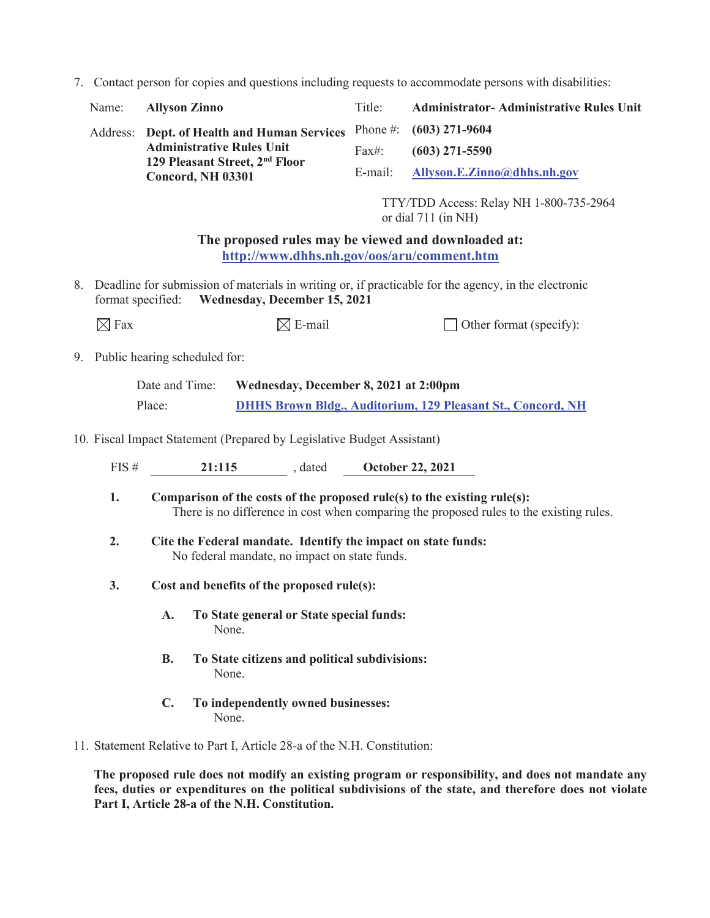7. Contact person for copies and questions including requests to accommodate persons with disabilities:

| Name: Allyson Zinno                                                    | Title:   | <b>Administrator-Administrative Rules Unit</b> |
|------------------------------------------------------------------------|----------|------------------------------------------------|
| Address: Dept. of Health and Human Services Phone #: (603) 271-9604    |          |                                                |
| <b>Administrative Rules Unit</b>                                       | $Fax\#:$ | $(603)$ 271-5590                               |
| 129 Pleasant Street, 2 <sup>nd</sup> Floor<br><b>Concord, NH 03301</b> |          | E-mail: Allyson.E.Zinno@dhhs.nh.gov            |

TTY/TDD Access: Relay NH 1-800-735-2964 or dial 711 (in NH)

**The proposed rules may be viewed and downloaded at: http://www.dhhs.nh.gov/oos/aru/comment.htm**

8. Deadline for submission of materials in writing or, if practicable for the agency, in the electronic format specified: **Wednesday, December 15, 2021**

 $\boxtimes$  Fax  $\boxtimes$  E-mail  $\Box$  Other format (specify):

9. Public hearing scheduled for:

| Date and Time: | Wednesday, December 8, 2021 at 2:00pm                              |
|----------------|--------------------------------------------------------------------|
| Place:         | <b>DHHS Brown Bldg., Auditorium, 129 Pleasant St., Concord, NH</b> |

10. Fiscal Impact Statement (Prepared by Legislative Budget Assistant)

FIS # **21:115** , dated **October 22, 2021** 

- **1. Comparison of the costs of the proposed rule(s) to the existing rule(s):**  There is no difference in cost when comparing the proposed rules to the existing rules.
- **2. Cite the Federal mandate. Identify the impact on state funds:**  No federal mandate, no impact on state funds.
- **3. Cost and benefits of the proposed rule(s):** 
	- **A. To State general or State special funds:**  None.
	- **B. To State citizens and political subdivisions:**  None.
	- **C. To independently owned businesses:**  None.
- 11. Statement Relative to Part I, Article 28-a of the N.H. Constitution:

**The proposed rule does not modify an existing program or responsibility, and does not mandate any fees, duties or expenditures on the political subdivisions of the state, and therefore does not violate Part I, Article 28-a of the N.H. Constitution.**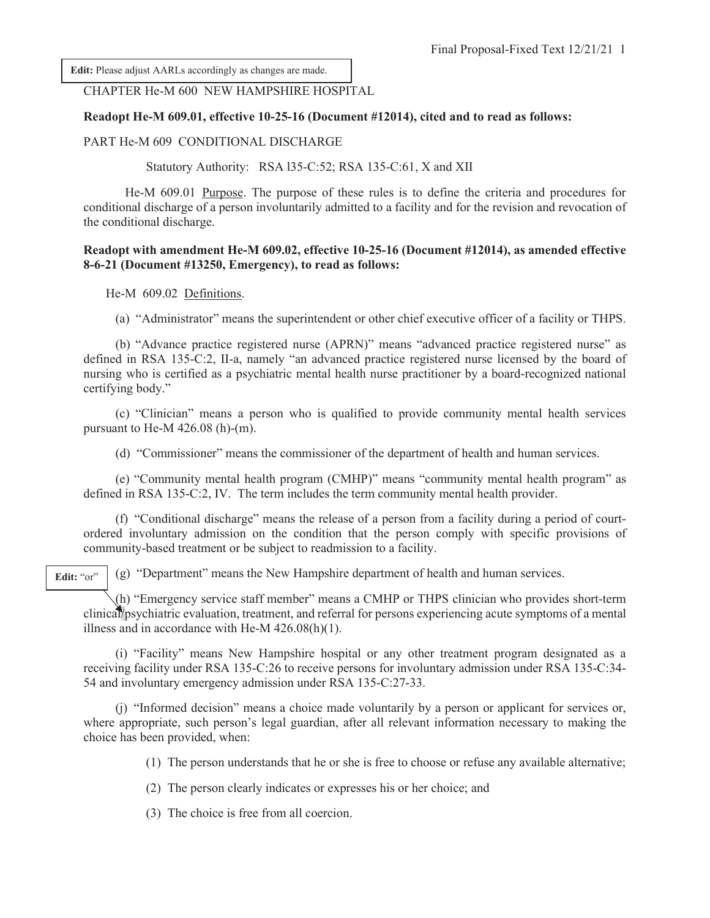**Edit:** Please adjust AARLs accordingly as changes are made.

#### CHAPTER He-M 600 NEW HAMPSHIRE HOSPITAL

#### **Readopt He-M 609.01, effective 10-25-16 (Document #12014), cited and to read as follows:**

#### PART He-M 609 CONDITIONAL DISCHARGE

Statutory Authority: RSA l35-C:52; RSA 135-C:61, X and XII

 He-M 609.01 Purpose. The purpose of these rules is to define the criteria and procedures for conditional discharge of a person involuntarily admitted to a facility and for the revision and revocation of the conditional discharge.

#### **Readopt with amendment He-M 609.02, effective 10-25-16 (Document #12014), as amended effective 8-6-21 (Document #13250, Emergency), to read as follows:**

He-M 609.02 Definitions.

(a) "Administrator" means the superintendent or other chief executive officer of a facility or THPS.

 (b) "Advance practice registered nurse (APRN)" means "advanced practice registered nurse" as defined in RSA 135-C:2, II-a, namely "an advanced practice registered nurse licensed by the board of nursing who is certified as a psychiatric mental health nurse practitioner by a board-recognized national certifying body."

 (c) "Clinician" means a person who is qualified to provide community mental health services pursuant to He-M 426.08 (h)-(m).

(d) "Commissioner" means the commissioner of the department of health and human services.

 (e) "Community mental health program (CMHP)" means "community mental health program" as defined in RSA 135-C:2, IV. The term includes the term community mental health provider.

 (f) "Conditional discharge" means the release of a person from a facility during a period of courtordered involuntary admission on the condition that the person comply with specific provisions of community-based treatment or be subject to readmission to a facility.

Edit: "or"

(g) "Department" means the New Hampshire department of health and human services.

 (h) "Emergency service staff member" means a CMHP or THPS clinician who provides short-term clinical/psychiatric evaluation, treatment, and referral for persons experiencing acute symptoms of a mental illness and in accordance with He-M 426.08(h)(1).

 (i) "Facility" means New Hampshire hospital or any other treatment program designated as a receiving facility under RSA 135-C:26 to receive persons for involuntary admission under RSA 135-C:34- 54 and involuntary emergency admission under RSA 135-C:27-33.

 (j) "Informed decision" means a choice made voluntarily by a person or applicant for services or, where appropriate, such person's legal guardian, after all relevant information necessary to making the choice has been provided, when:

(1) The person understands that he or she is free to choose or refuse any available alternative;

(2) The person clearly indicates or expresses his or her choice; and

(3) The choice is free from all coercion.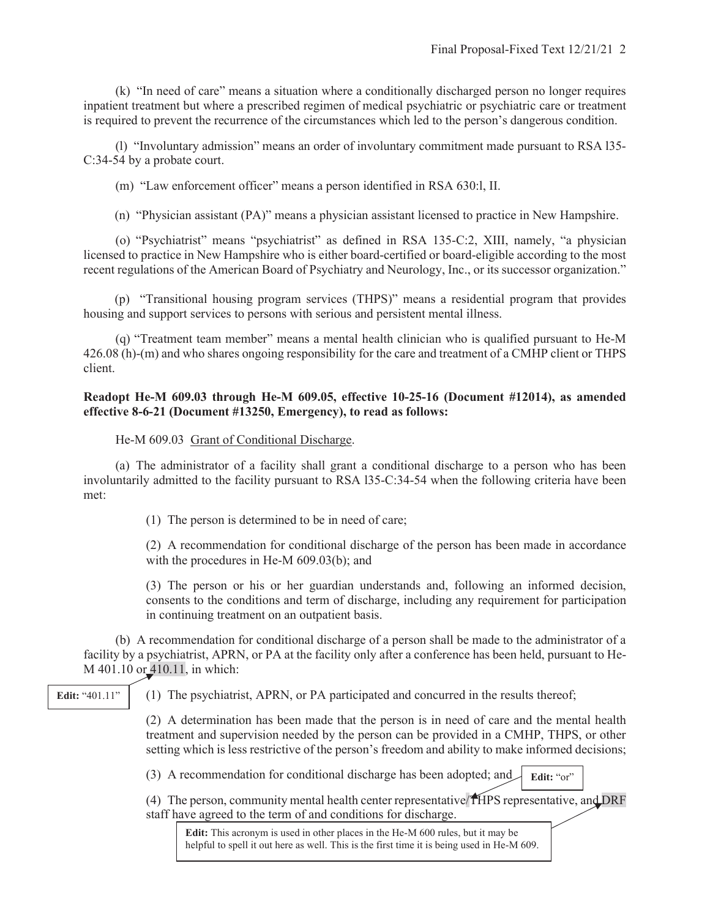(k) "In need of care" means a situation where a conditionally discharged person no longer requires inpatient treatment but where a prescribed regimen of medical psychiatric or psychiatric care or treatment is required to prevent the recurrence of the circumstances which led to the person's dangerous condition.

 (l) "Involuntary admission" means an order of involuntary commitment made pursuant to RSA l35- C:34-54 by a probate court.

(m) "Law enforcement officer" means a person identified in RSA 630:l, II.

(n) "Physician assistant (PA)" means a physician assistant licensed to practice in New Hampshire.

 (o) "Psychiatrist" means "psychiatrist" as defined in RSA 135-C:2, XIII, namely, "a physician licensed to practice in New Hampshire who is either board-certified or board-eligible according to the most recent regulations of the American Board of Psychiatry and Neurology, Inc., or its successor organization."

(p) "Transitional housing program services (THPS)" means a residential program that provides housing and support services to persons with serious and persistent mental illness.

 (q) "Treatment team member" means a mental health clinician who is qualified pursuant to He-M 426.08 (h)-(m) and who shares ongoing responsibility for the care and treatment of a CMHP client or THPS client.

# **Readopt He-M 609.03 through He-M 609.05, effective 10-25-16 (Document #12014), as amended effective 8-6-21 (Document #13250, Emergency), to read as follows:**

He-M 609.03 Grant of Conditional Discharge.

 (a) The administrator of a facility shall grant a conditional discharge to a person who has been involuntarily admitted to the facility pursuant to RSA l35-C:34-54 when the following criteria have been met:

(1) The person is determined to be in need of care;

(2) A recommendation for conditional discharge of the person has been made in accordance with the procedures in He-M 609.03(b); and

(3) The person or his or her guardian understands and, following an informed decision, consents to the conditions and term of discharge, including any requirement for participation in continuing treatment on an outpatient basis.

 (b) A recommendation for conditional discharge of a person shall be made to the administrator of a facility by a psychiatrist, APRN, or PA at the facility only after a conference has been held, pursuant to He-M 401.10 or 410.11, in which:

(1) The psychiatrist, APRN, or PA participated and concurred in the results thereof;

(2) A determination has been made that the person is in need of care and the mental health treatment and supervision needed by the person can be provided in a CMHP, THPS, or other setting which is less restrictive of the person's freedom and ability to make informed decisions;

(3) A recommendation for conditional discharge has been adopted; and Edit: "or"

(4) The person, community mental health center representative/THPS representative, and DRF staff have agreed to the term of and conditions for discharge.

**Edit:** This acronym is used in other places in the He-M 600 rules, but it may be helpful to spell it out here as well. This is the first time it is being used in He-M 609.

**Edit:** "401.11"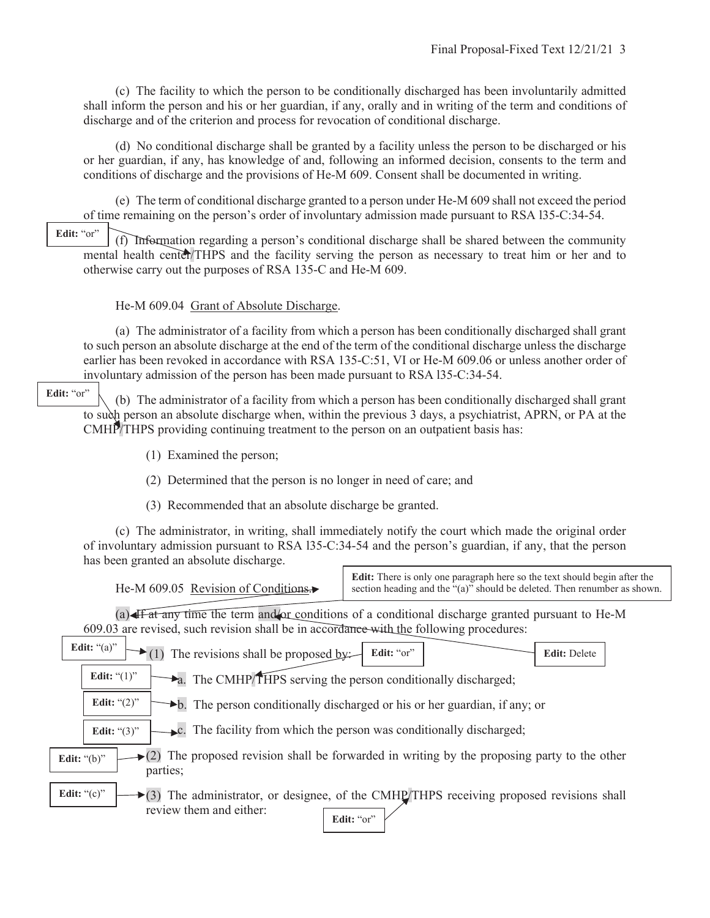(c) The facility to which the person to be conditionally discharged has been involuntarily admitted shall inform the person and his or her guardian, if any, orally and in writing of the term and conditions of discharge and of the criterion and process for revocation of conditional discharge.

 (d) No conditional discharge shall be granted by a facility unless the person to be discharged or his or her guardian, if any, has knowledge of and, following an informed decision, consents to the term and conditions of discharge and the provisions of He-M 609. Consent shall be documented in writing.

 (e) The term of conditional discharge granted to a person under He-M 609 shall not exceed the period of time remaining on the person's order of involuntary admission made pursuant to RSA l35-C:34-54.

Edit: "or"

 (f) Information regarding a person's conditional discharge shall be shared between the community mental health center/THPS and the facility serving the person as necessary to treat him or her and to otherwise carry out the purposes of RSA 135-C and He-M 609.

## He-M 609.04 Grant of Absolute Discharge.

 (a) The administrator of a facility from which a person has been conditionally discharged shall grant to such person an absolute discharge at the end of the term of the conditional discharge unless the discharge earlier has been revoked in accordance with RSA 135-C:51, VI or He-M 609.06 or unless another order of involuntary admission of the person has been made pursuant to RSA l35-C:34-54.

Edit: "or"

 (b) The administrator of a facility from which a person has been conditionally discharged shall grant to such person an absolute discharge when, within the previous 3 days, a psychiatrist, APRN, or PA at the CMHP/THPS providing continuing treatment to the person on an outpatient basis has:

(1) Examined the person;

(2) Determined that the person is no longer in need of care; and

(3) Recommended that an absolute discharge be granted.

 (c) The administrator, in writing, shall immediately notify the court which made the original order of involuntary admission pursuant to RSA l35-C:34-54 and the person's guardian, if any, that the person has been granted an absolute discharge.

|                                       | <b>Edit:</b> There is only one paragraph here so the text should begin after the |
|---------------------------------------|----------------------------------------------------------------------------------|
| He-M $609.05$ Revision of Conditions. | section heading and the "(a)" should be deleted. Then renumber as shown.         |
|                                       |                                                                                  |

(a) If at any time the term and/or conditions of a conditional discharge granted pursuant to He-M 609.03 are revised, such revision shall be in accordance with the following procedures:

| Edit: " $(a)$ "<br>$\blacktriangleright$ (1) The revisions shall be proposed by:<br>Edit: "or"<br><b>Edit: Delete</b>                                                     |  |  |
|---------------------------------------------------------------------------------------------------------------------------------------------------------------------------|--|--|
| Edit: " $(1)$ "<br>$\rightarrow$ a. The CMHP/THPS serving the person conditionally discharged;                                                                            |  |  |
| Edit: " $(2)$ "<br>$\blacktriangleright$ b. The person conditionally discharged or his or her guardian, if any; or                                                        |  |  |
| $\blacktriangleright$ c. The facility from which the person was conditionally discharged;<br>Edit: " $(3)$ "                                                              |  |  |
| $\epsilon$ (2) The proposed revision shall be forwarded in writing by the proposing party to the other<br>Edit: " $(b)$ "<br>parties;                                     |  |  |
| Edit: " $(c)$ "<br>$\blacktriangleright$ (3) The administrator, or designee, of the CMHP/THPS receiving proposed revisions shall<br>review them and either:<br>Edit: "or" |  |  |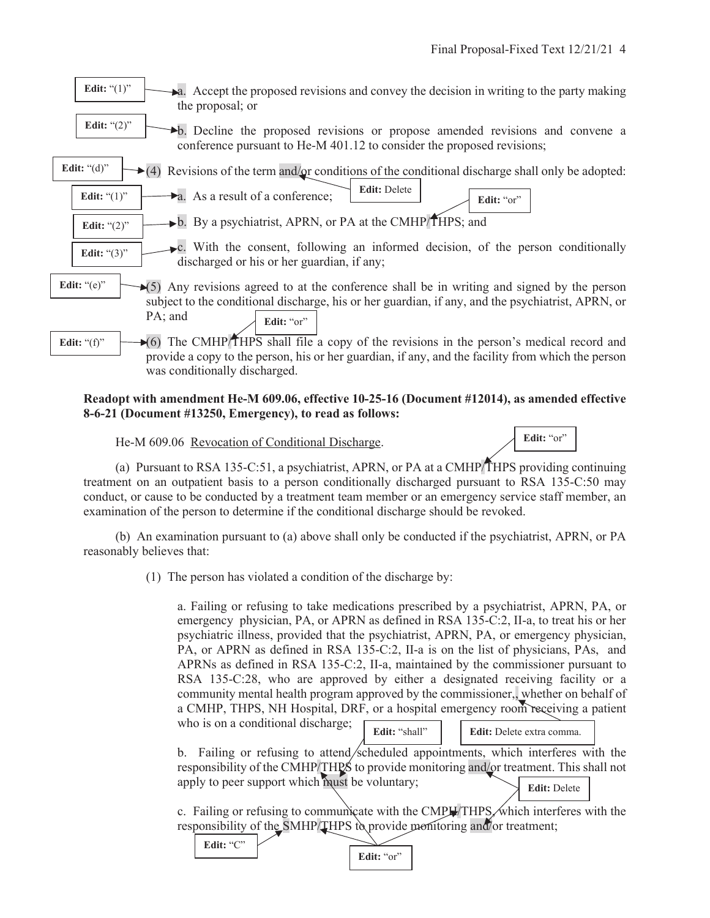Edit: "or"



### **Readopt with amendment He-M 609.06, effective 10-25-16 (Document #12014), as amended effective 8-6-21 (Document #13250, Emergency), to read as follows:**

He-M 609.06 Revocation of Conditional Discharge.

**Edit:** "C"

 (a) Pursuant to RSA 135-C:51, a psychiatrist, APRN, or PA at a CMHP/THPS providing continuing treatment on an outpatient basis to a person conditionally discharged pursuant to RSA 135-C:50 may conduct, or cause to be conducted by a treatment team member or an emergency service staff member, an examination of the person to determine if the conditional discharge should be revoked.

 (b) An examination pursuant to (a) above shall only be conducted if the psychiatrist, APRN, or PA reasonably believes that:

(1) The person has violated a condition of the discharge by:

a. Failing or refusing to take medications prescribed by a psychiatrist, APRN, PA, or emergency physician, PA, or APRN as defined in RSA 135-C:2, II-a, to treat his or her psychiatric illness, provided that the psychiatrist, APRN, PA, or emergency physician, PA, or APRN as defined in RSA 135-C:2, II-a is on the list of physicians, PAs, and APRNs as defined in RSA 135-C:2, II-a, maintained by the commissioner pursuant to RSA 135-C:28, who are approved by either a designated receiving facility or a community mental health program approved by the commissioner,, whether on behalf of a CMHP, THPS, NH Hospital, DRF, or a hospital emergency room receiving a patient who is on a conditional discharge; **Edit:** "shall" **Edit:** Delete extra comma.

b. Failing or refusing to attend/scheduled appointments, which interferes with the responsibility of the CMHP/THPS to provide monitoring and/or treatment. This shall not apply to peer support which must be voluntary; **Edit:** Delete

c. Failing or refusing to communicate with the  $\text{CMPH}$ THPS, which interferes with the responsibility of the SMHP/THPS to provide monitoring and/or treatment;

Edit: "or"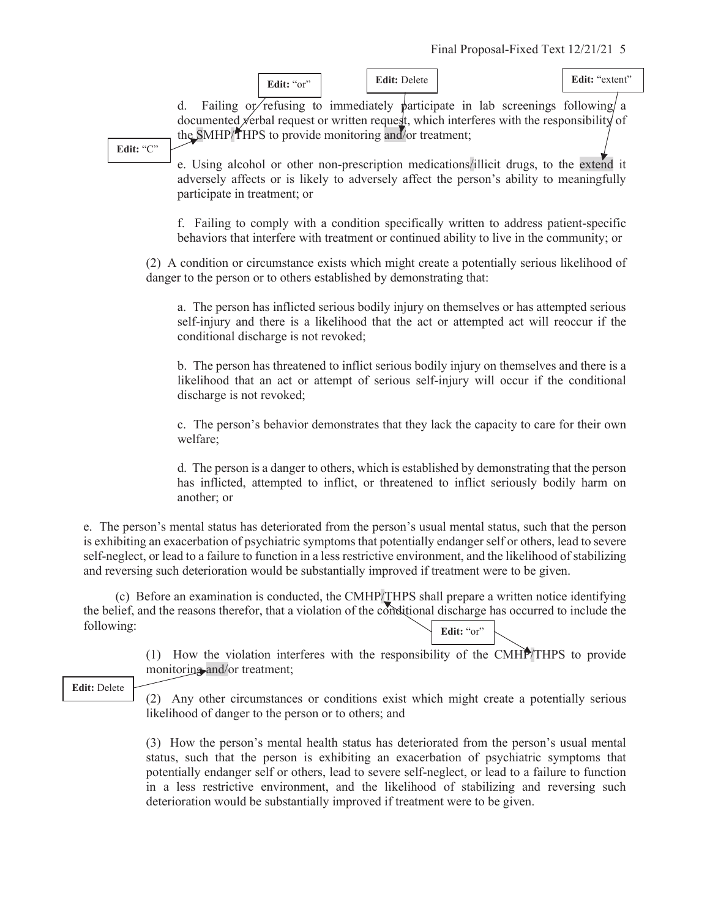

**Edit:** "C"

e. Using alcohol or other non-prescription medications/illicit drugs, to the extend it adversely affects or is likely to adversely affect the person's ability to meaningfully participate in treatment; or

f. Failing to comply with a condition specifically written to address patient-specific behaviors that interfere with treatment or continued ability to live in the community; or

(2) A condition or circumstance exists which might create a potentially serious likelihood of danger to the person or to others established by demonstrating that:

a. The person has inflicted serious bodily injury on themselves or has attempted serious self-injury and there is a likelihood that the act or attempted act will reoccur if the conditional discharge is not revoked;

b. The person has threatened to inflict serious bodily injury on themselves and there is a likelihood that an act or attempt of serious self-injury will occur if the conditional discharge is not revoked;

c. The person's behavior demonstrates that they lack the capacity to care for their own welfare;

d. The person is a danger to others, which is established by demonstrating that the person has inflicted, attempted to inflict, or threatened to inflict seriously bodily harm on another; or

e. The person's mental status has deteriorated from the person's usual mental status, such that the person is exhibiting an exacerbation of psychiatric symptoms that potentially endanger self or others, lead to severe self-neglect, or lead to a failure to function in a less restrictive environment, and the likelihood of stabilizing and reversing such deterioration would be substantially improved if treatment were to be given.

 (c) Before an examination is conducted, the CMHP/THPS shall prepare a written notice identifying the belief, and the reasons therefor, that a violation of the conditional discharge has occurred to include the following: Edit: "or"

> (1) How the violation interferes with the responsibility of the CMHP/THPS to provide monitoring and/or treatment;

**Edit:** Delete

(2) Any other circumstances or conditions exist which might create a potentially serious likelihood of danger to the person or to others; and

(3) How the person's mental health status has deteriorated from the person's usual mental status, such that the person is exhibiting an exacerbation of psychiatric symptoms that potentially endanger self or others, lead to severe self-neglect, or lead to a failure to function in a less restrictive environment, and the likelihood of stabilizing and reversing such deterioration would be substantially improved if treatment were to be given.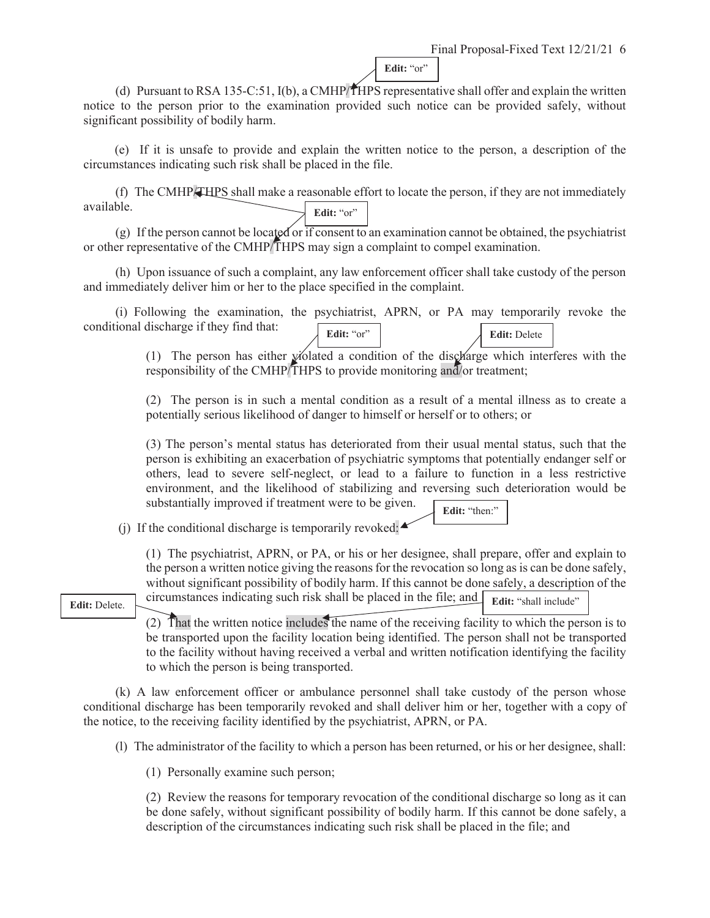Edit: "or"

(d) Pursuant to RSA 135-C:51,  $I(b)$ , a CMHP/THPS representative shall offer and explain the written notice to the person prior to the examination provided such notice can be provided safely, without significant possibility of bodily harm.

(e) If it is unsafe to provide and explain the written notice to the person, a description of the circumstances indicating such risk shall be placed in the file.

 (f) The CMHP/THPS shall make a reasonable effort to locate the person, if they are not immediately available. Edit: "or"

 (g) If the person cannot be located or if consent to an examination cannot be obtained, the psychiatrist or other representative of the CMHP/THPS may sign a complaint to compel examination.

 (h) Upon issuance of such a complaint, any law enforcement officer shall take custody of the person and immediately deliver him or her to the place specified in the complaint.

 (i) Following the examination, the psychiatrist, APRN, or PA may temporarily revoke the conditional discharge if they find that: **Edit:** "or" **Edit:** Delete

> (1) The person has either violated a condition of the discharge which interferes with the responsibility of the CMHP/THPS to provide monitoring and/or treatment;

> (2) The person is in such a mental condition as a result of a mental illness as to create a potentially serious likelihood of danger to himself or herself or to others; or

> (3) The person's mental status has deteriorated from their usual mental status, such that the person is exhibiting an exacerbation of psychiatric symptoms that potentially endanger self or others, lead to severe self-neglect, or lead to a failure to function in a less restrictive environment, and the likelihood of stabilizing and reversing such deterioration would be substantially improved if treatment were to be given.

**Edit:** "then:"

(i) If the conditional discharge is temporarily revoked:  $\blacktriangle$ 

(1) The psychiatrist, APRN, or PA, or his or her designee, shall prepare, offer and explain to the person a written notice giving the reasons for the revocation so long as is can be done safely, without significant possibility of bodily harm. If this cannot be done safely, a description of the **Edit:** Delete. circumstances indicating such risk shall be placed in the file; and **Edit:** "shall include"

 $\overline{a}$ (2) That the written notice includes the name of the receiving facility to which the person is to be transported upon the facility location being identified. The person shall not be transported to the facility without having received a verbal and written notification identifying the facility to which the person is being transported.

 (k) A law enforcement officer or ambulance personnel shall take custody of the person whose conditional discharge has been temporarily revoked and shall deliver him or her, together with a copy of the notice, to the receiving facility identified by the psychiatrist, APRN, or PA.

(l) The administrator of the facility to which a person has been returned, or his or her designee, shall:

(1) Personally examine such person;

(2) Review the reasons for temporary revocation of the conditional discharge so long as it can be done safely, without significant possibility of bodily harm. If this cannot be done safely, a description of the circumstances indicating such risk shall be placed in the file; and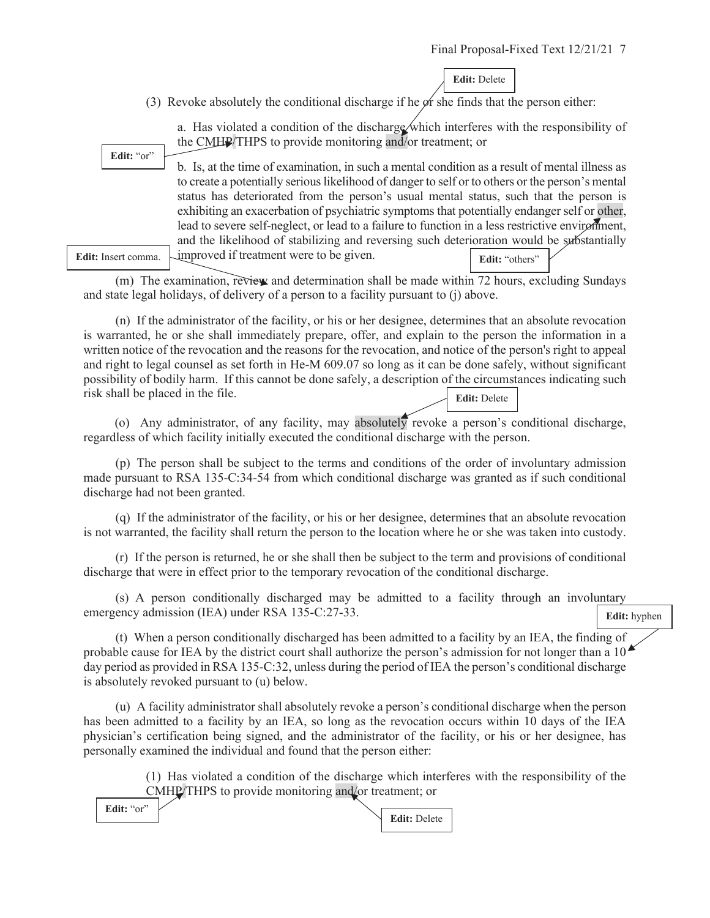**Edit:** Delete

(3) Revoke absolutely the conditional discharge if he  $\phi$  f she finds that the person either:

**Edit:** "or"

a. Has violated a condition of the discharge which interferes with the responsibility of the CMHP/THPS to provide monitoring and/or treatment; or

b. Is, at the time of examination, in such a mental condition as a result of mental illness as to create a potentially serious likelihood of danger to self or to others or the person's mental status has deteriorated from the person's usual mental status, such that the person is exhibiting an exacerbation of psychiatric symptoms that potentially endanger self or other, lead to severe self-neglect, or lead to a failure to function in a less restrictive environment, and the likelihood of stabilizing and reversing such deterioration would be substantially Edit: Insert comma. Limproved if treatment were to be given.

 (m) The examination, review and determination shall be made within 72 hours, excluding Sundays and state legal holidays, of delivery of a person to a facility pursuant to (j) above.

 (n) If the administrator of the facility, or his or her designee, determines that an absolute revocation is warranted, he or she shall immediately prepare, offer, and explain to the person the information in a written notice of the revocation and the reasons for the revocation, and notice of the person's right to appeal and right to legal counsel as set forth in He-M 609.07 so long as it can be done safely, without significant possibility of bodily harm. If this cannot be done safely, a description of the circumstances indicating such risk shall be placed in the file. **Edit:** Delete

(o) Any administrator, of any facility, may absolutely revoke a person's conditional discharge, regardless of which facility initially executed the conditional discharge with the person.

 (p) The person shall be subject to the terms and conditions of the order of involuntary admission made pursuant to RSA 135-C:34-54 from which conditional discharge was granted as if such conditional discharge had not been granted.

 (q) If the administrator of the facility, or his or her designee, determines that an absolute revocation is not warranted, the facility shall return the person to the location where he or she was taken into custody.

 (r) If the person is returned, he or she shall then be subject to the term and provisions of conditional discharge that were in effect prior to the temporary revocation of the conditional discharge.

 (s) A person conditionally discharged may be admitted to a facility through an involuntary emergency admission (IEA) under RSA 135-C:27-33.

 (t) When a person conditionally discharged has been admitted to a facility by an IEA, the finding of probable cause for IEA by the district court shall authorize the person's admission for not longer than a 10 day period as provided in RSA 135-C:32, unless during the period of IEA the person's conditional discharge is absolutely revoked pursuant to (u) below.

 (u) A facility administrator shall absolutely revoke a person's conditional discharge when the person has been admitted to a facility by an IEA, so long as the revocation occurs within 10 days of the IEA physician's certification being signed, and the administrator of the facility, or his or her designee, has personally examined the individual and found that the person either:

> (1) Has violated a condition of the discharge which interferes with the responsibility of the CMHP/THPS to provide monitoring and/or treatment; or

Edit: "or"

**Edit:** Delete

**Edit:** hyphen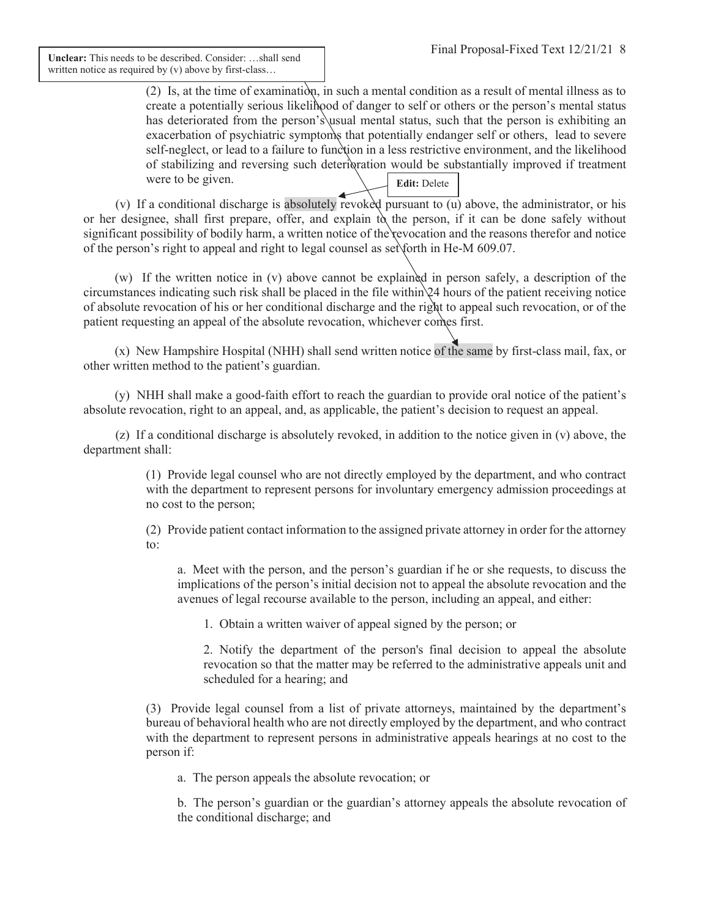**Unclear:** This needs to be described. Consider: …shall send written notice as required by (v) above by first-class...

> (2) Is, at the time of examination, in such a mental condition as a result of mental illness as to create a potentially serious likelihood of danger to self or others or the person's mental status has deteriorated from the person's usual mental status, such that the person is exhibiting an exacerbation of psychiatric symptoms that potentially endanger self or others, lead to severe self-neglect, or lead to a failure to function in a less restrictive environment, and the likelihood of stabilizing and reversing such deterioration would be substantially improved if treatment were to be given. **Edit:** Delete

(v) If a conditional discharge is absolutely revoked pursuant to  $(u)$  above, the administrator, or his or her designee, shall first prepare, offer, and explain  $t\delta$  the person, if it can be done safely without significant possibility of bodily harm, a written notice of the revocation and the reasons therefor and notice of the person's right to appeal and right to legal counsel as set forth in He-M 609.07.

(w) If the written notice in (v) above cannot be explained in person safely, a description of the circumstances indicating such risk shall be placed in the file within 24 hours of the patient receiving notice of absolute revocation of his or her conditional discharge and the right to appeal such revocation, or of the patient requesting an appeal of the absolute revocation, whichever comes first.

(x) New Hampshire Hospital (NHH) shall send written notice of the same by first-class mail, fax, or other written method to the patient's guardian.

(y) NHH shall make a good-faith effort to reach the guardian to provide oral notice of the patient's absolute revocation, right to an appeal, and, as applicable, the patient's decision to request an appeal.

 (z) If a conditional discharge is absolutely revoked, in addition to the notice given in (v) above, the department shall:

> (1) Provide legal counsel who are not directly employed by the department, and who contract with the department to represent persons for involuntary emergency admission proceedings at no cost to the person;

> (2) Provide patient contact information to the assigned private attorney in order for the attorney to:

a. Meet with the person, and the person's guardian if he or she requests, to discuss the implications of the person's initial decision not to appeal the absolute revocation and the avenues of legal recourse available to the person, including an appeal, and either:

1. Obtain a written waiver of appeal signed by the person; or

2. Notify the department of the person's final decision to appeal the absolute revocation so that the matter may be referred to the administrative appeals unit and scheduled for a hearing; and

(3) Provide legal counsel from a list of private attorneys, maintained by the department's bureau of behavioral health who are not directly employed by the department, and who contract with the department to represent persons in administrative appeals hearings at no cost to the person if:

a. The person appeals the absolute revocation; or

b. The person's guardian or the guardian's attorney appeals the absolute revocation of the conditional discharge; and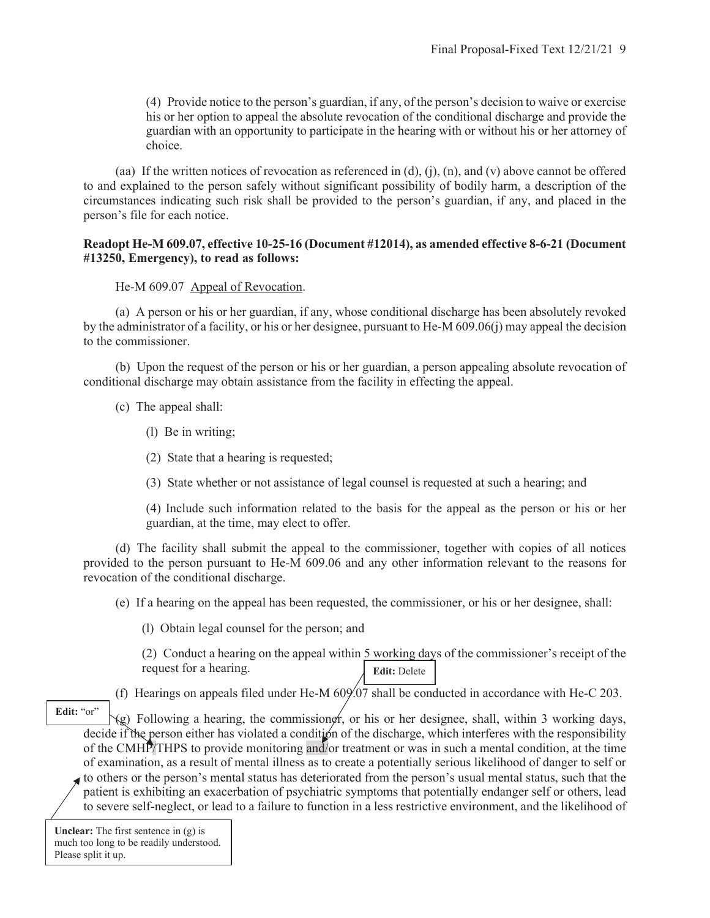(4) Provide notice to the person's guardian, if any, of the person's decision to waive or exercise his or her option to appeal the absolute revocation of the conditional discharge and provide the guardian with an opportunity to participate in the hearing with or without his or her attorney of choice.

(aa) If the written notices of revocation as referenced in (d), (j), (n), and (v) above cannot be offered to and explained to the person safely without significant possibility of bodily harm, a description of the circumstances indicating such risk shall be provided to the person's guardian, if any, and placed in the person's file for each notice.

## **Readopt He-M 609.07, effective 10-25-16 (Document #12014), as amended effective 8-6-21 (Document #13250, Emergency), to read as follows:**

He-M 609.07 Appeal of Revocation.

 (a) A person or his or her guardian, if any, whose conditional discharge has been absolutely revoked by the administrator of a facility, or his or her designee, pursuant to He-M 609.06(j) may appeal the decision to the commissioner.

 (b) Upon the request of the person or his or her guardian, a person appealing absolute revocation of conditional discharge may obtain assistance from the facility in effecting the appeal.

(c) The appeal shall:

- (l) Be in writing;
- (2) State that a hearing is requested;
- (3) State whether or not assistance of legal counsel is requested at such a hearing; and

(4) Include such information related to the basis for the appeal as the person or his or her guardian, at the time, may elect to offer.

 (d) The facility shall submit the appeal to the commissioner, together with copies of all notices provided to the person pursuant to He-M 609.06 and any other information relevant to the reasons for revocation of the conditional discharge.

(e) If a hearing on the appeal has been requested, the commissioner, or his or her designee, shall:

(l) Obtain legal counsel for the person; and

(2) Conduct a hearing on the appeal within 5 working days of the commissioner's receipt of the request for a hearing. **Edit:** Delete

(f) Hearings on appeals filed under He-M 609.07 shall be conducted in accordance with He-C 203.

 $(g)$  Following a hearing, the commissioner, or his or her designee, shall, within 3 working days, decide if the person either has violated a condition of the discharge, which interferes with the responsibility of the CMHP/THPS to provide monitoring and/or treatment or was in such a mental condition, at the time of examination, as a result of mental illness as to create a potentially serious likelihood of danger to self or Edit: "or"

to others or the person's mental status has deteriorated from the person's usual mental status, such that the patient is exhibiting an exacerbation of psychiatric symptoms that potentially endanger self or others, lead to severe self-neglect, or lead to a failure to function in a less restrictive environment, and the likelihood of

**Unclear:** The first sentence in (g) is much too long to be readily understood. Please split it up.